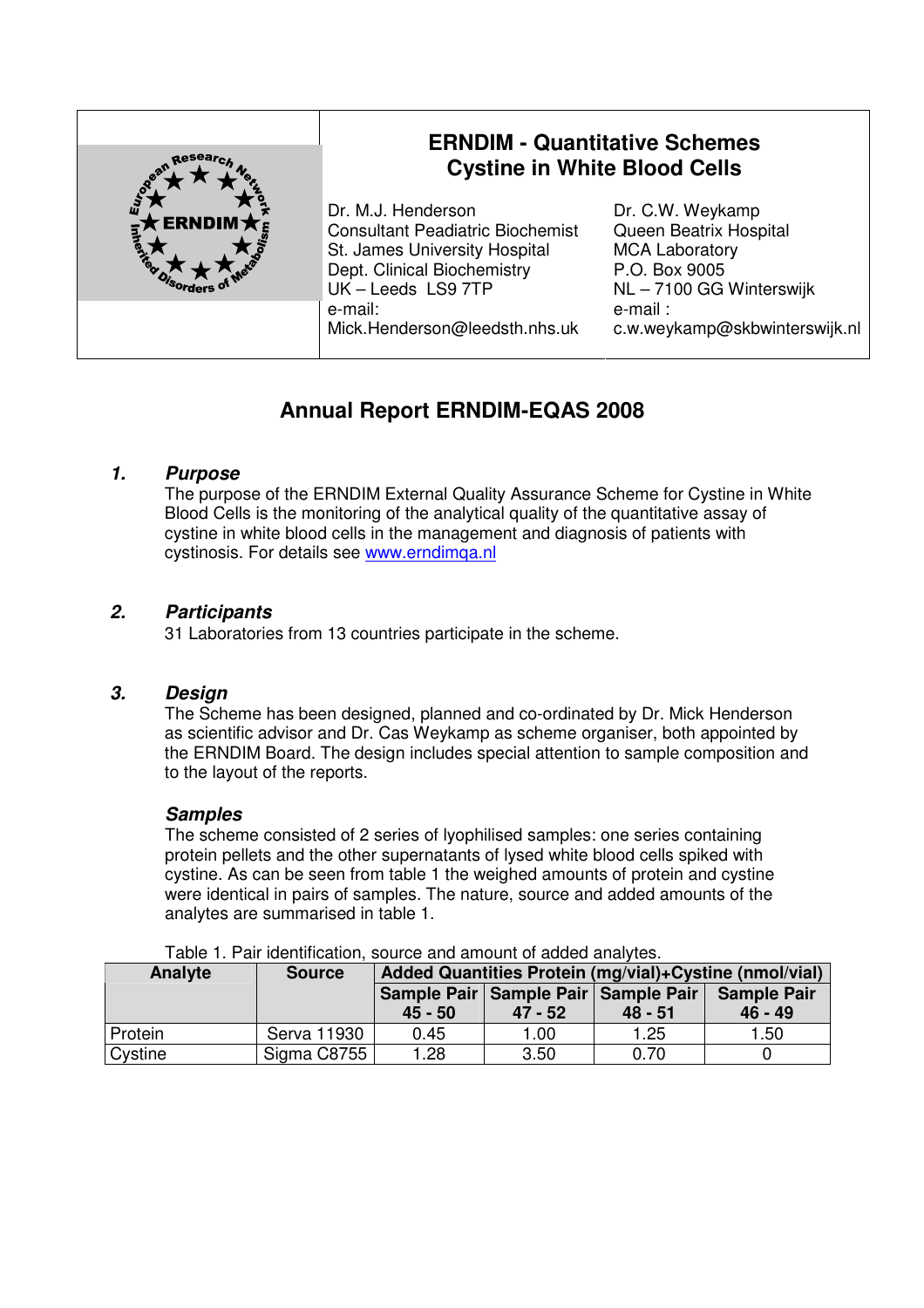

# **Annual Report ERNDIM-EQAS 2008**

# **1. Purpose**

The purpose of the ERNDIM External Quality Assurance Scheme for Cystine in White Blood Cells is the monitoring of the analytical quality of the quantitative assay of cystine in white blood cells in the management and diagnosis of patients with cystinosis. For details see www.erndimqa.nl

#### **2. Participants**

31 Laboratories from 13 countries participate in the scheme.

#### **3. Design**

The Scheme has been designed, planned and co-ordinated by Dr. Mick Henderson as scientific advisor and Dr. Cas Weykamp as scheme organiser, both appointed by the ERNDIM Board. The design includes special attention to sample composition and to the layout of the reports.

#### **Samples**

The scheme consisted of 2 series of lyophilised samples: one series containing protein pellets and the other supernatants of lysed white blood cells spiked with cystine. As can be seen from table 1 the weighed amounts of protein and cystine were identical in pairs of samples. The nature, source and added amounts of the analytes are summarised in table 1.

| rable 1.1 all identification, source and amount or added analytes. |               |                                                        |           |           |                    |
|--------------------------------------------------------------------|---------------|--------------------------------------------------------|-----------|-----------|--------------------|
| Analyte                                                            | <b>Source</b> | Added Quantities Protein (mg/vial)+Cystine (nmol/vial) |           |           |                    |
|                                                                    |               | Sample Pair   Sample Pair   Sample Pair                |           |           | <b>Sample Pair</b> |
|                                                                    |               | $45 - 50$                                              | $47 - 52$ | $48 - 51$ | $46 - 49$          |
| Protein                                                            | Serva 11930   | 0.45                                                   | 1.00      | 1.25      | 1.50               |
| Cystine                                                            | Sigma C8755   | 1.28                                                   | 3.50      | 0.70      |                    |

Table 1. Pair identification, source and amount of added analytes.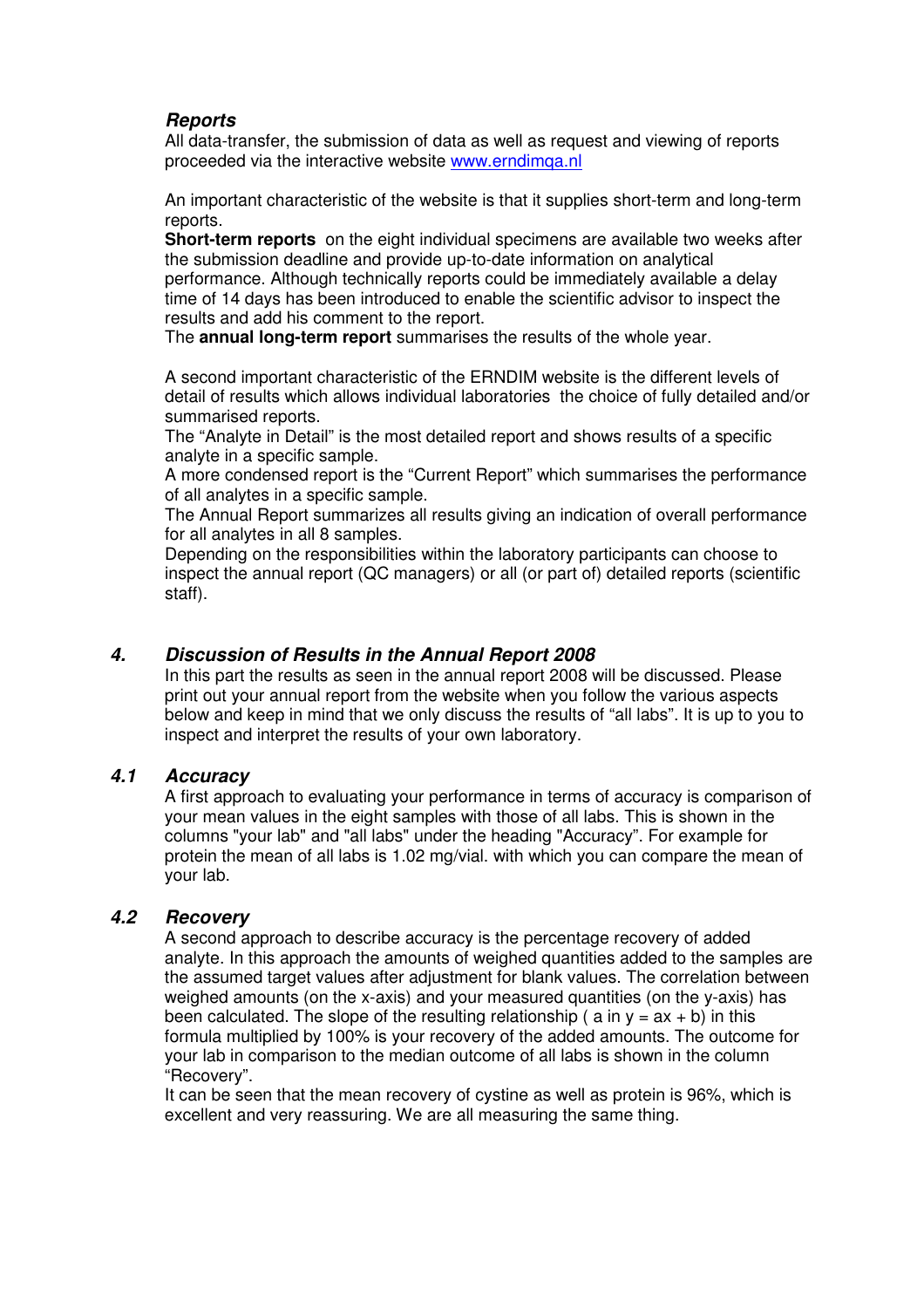#### **Reports**

All data-transfer, the submission of data as well as request and viewing of reports proceeded via the interactive website www.erndimqa.nl

An important characteristic of the website is that it supplies short-term and long-term reports.

**Short-term reports** on the eight individual specimens are available two weeks after the submission deadline and provide up-to-date information on analytical performance. Although technically reports could be immediately available a delay time of 14 days has been introduced to enable the scientific advisor to inspect the results and add his comment to the report.

The **annual long-term report** summarises the results of the whole year.

A second important characteristic of the ERNDIM website is the different levels of detail of results which allows individual laboratories the choice of fully detailed and/or summarised reports.

The "Analyte in Detail" is the most detailed report and shows results of a specific analyte in a specific sample.

A more condensed report is the "Current Report" which summarises the performance of all analytes in a specific sample.

The Annual Report summarizes all results giving an indication of overall performance for all analytes in all 8 samples.

Depending on the responsibilities within the laboratory participants can choose to inspect the annual report (QC managers) or all (or part of) detailed reports (scientific staff).

#### **4. Discussion of Results in the Annual Report 2008**

In this part the results as seen in the annual report 2008 will be discussed. Please print out your annual report from the website when you follow the various aspects below and keep in mind that we only discuss the results of "all labs". It is up to you to inspect and interpret the results of your own laboratory.

#### **4.1 Accuracy**

A first approach to evaluating your performance in terms of accuracy is comparison of your mean values in the eight samples with those of all labs. This is shown in the columns "your lab" and "all labs" under the heading "Accuracy". For example for protein the mean of all labs is 1.02 mg/vial. with which you can compare the mean of your lab.

#### **4.2 Recovery**

A second approach to describe accuracy is the percentage recovery of added analyte. In this approach the amounts of weighed quantities added to the samples are the assumed target values after adjustment for blank values. The correlation between weighed amounts (on the x-axis) and your measured quantities (on the y-axis) has been calculated. The slope of the resulting relationship (  $a$  in  $y = ax + b$ ) in this formula multiplied by 100% is your recovery of the added amounts. The outcome for your lab in comparison to the median outcome of all labs is shown in the column "Recovery".

It can be seen that the mean recovery of cystine as well as protein is 96%, which is excellent and very reassuring. We are all measuring the same thing.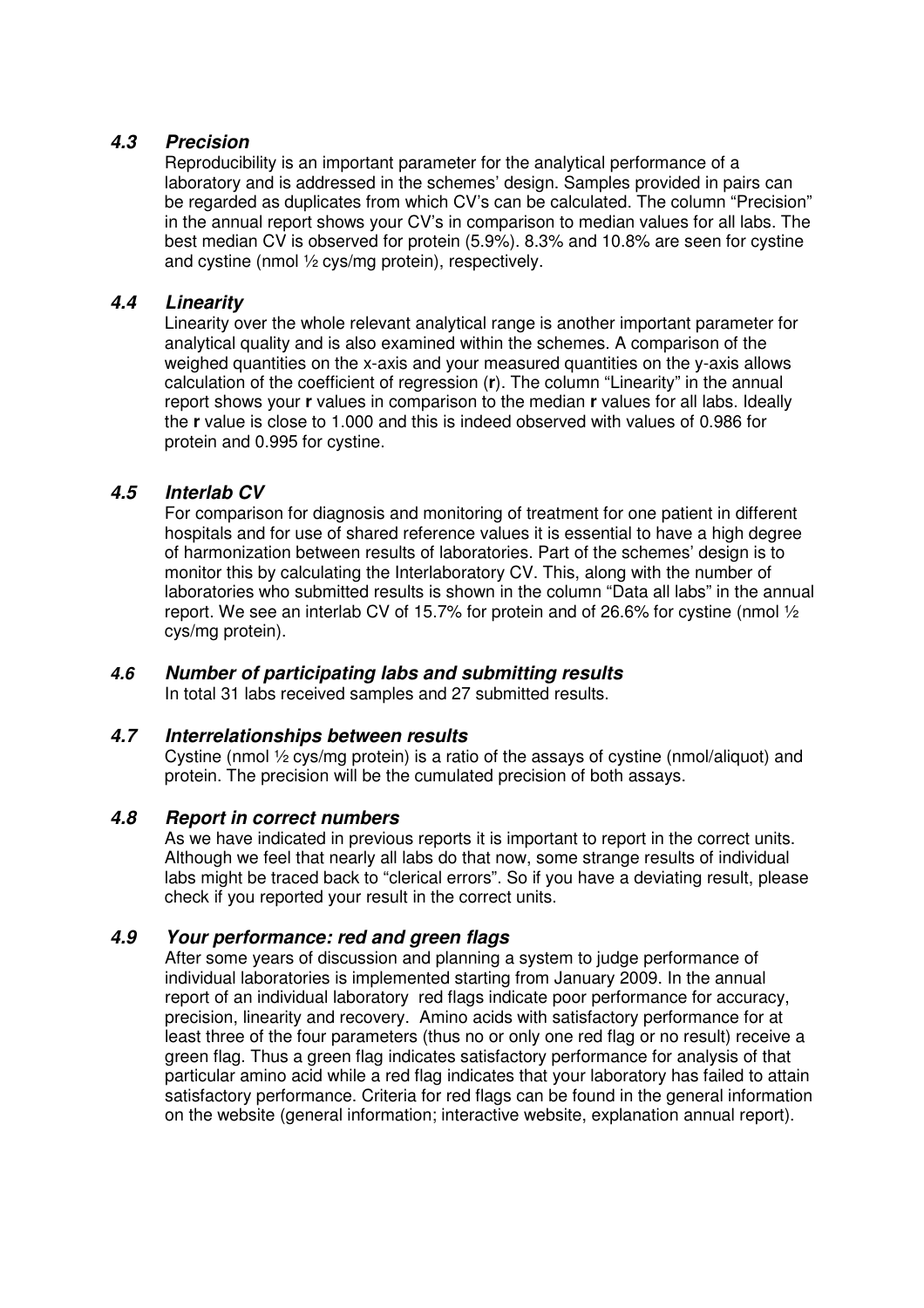#### **4.3 Precision**

Reproducibility is an important parameter for the analytical performance of a laboratory and is addressed in the schemes' design. Samples provided in pairs can be regarded as duplicates from which CV's can be calculated. The column "Precision" in the annual report shows your CV's in comparison to median values for all labs. The best median CV is observed for protein (5.9%). 8.3% and 10.8% are seen for cystine and cystine (nmol ½ cys/mg protein), respectively.

### **4.4 Linearity**

Linearity over the whole relevant analytical range is another important parameter for analytical quality and is also examined within the schemes. A comparison of the weighed quantities on the x-axis and your measured quantities on the y-axis allows calculation of the coefficient of regression (**r**). The column "Linearity" in the annual report shows your **r** values in comparison to the median **r** values for all labs. Ideally the **r** value is close to 1.000 and this is indeed observed with values of 0.986 for protein and 0.995 for cystine.

# **4.5 Interlab CV**

For comparison for diagnosis and monitoring of treatment for one patient in different hospitals and for use of shared reference values it is essential to have a high degree of harmonization between results of laboratories. Part of the schemes' design is to monitor this by calculating the Interlaboratory CV. This, along with the number of laboratories who submitted results is shown in the column "Data all labs" in the annual report. We see an interlab CV of 15.7% for protein and of 26.6% for cystine (nmol  $\frac{1}{2}$ ) cys/mg protein).

#### **4.6 Number of participating labs and submitting results**

In total 31 labs received samples and 27 submitted results.

#### **4.7 Interrelationships between results**

Cystine (nmol ½ cys/mg protein) is a ratio of the assays of cystine (nmol/aliquot) and protein. The precision will be the cumulated precision of both assays.

#### **4.8 Report in correct numbers**

As we have indicated in previous reports it is important to report in the correct units. Although we feel that nearly all labs do that now, some strange results of individual labs might be traced back to "clerical errors". So if you have a deviating result, please check if you reported your result in the correct units.

# **4.9 Your performance: red and green flags**

After some years of discussion and planning a system to judge performance of individual laboratories is implemented starting from January 2009. In the annual report of an individual laboratory red flags indicate poor performance for accuracy, precision, linearity and recovery. Amino acids with satisfactory performance for at least three of the four parameters (thus no or only one red flag or no result) receive a green flag. Thus a green flag indicates satisfactory performance for analysis of that particular amino acid while a red flag indicates that your laboratory has failed to attain satisfactory performance. Criteria for red flags can be found in the general information on the website (general information; interactive website, explanation annual report).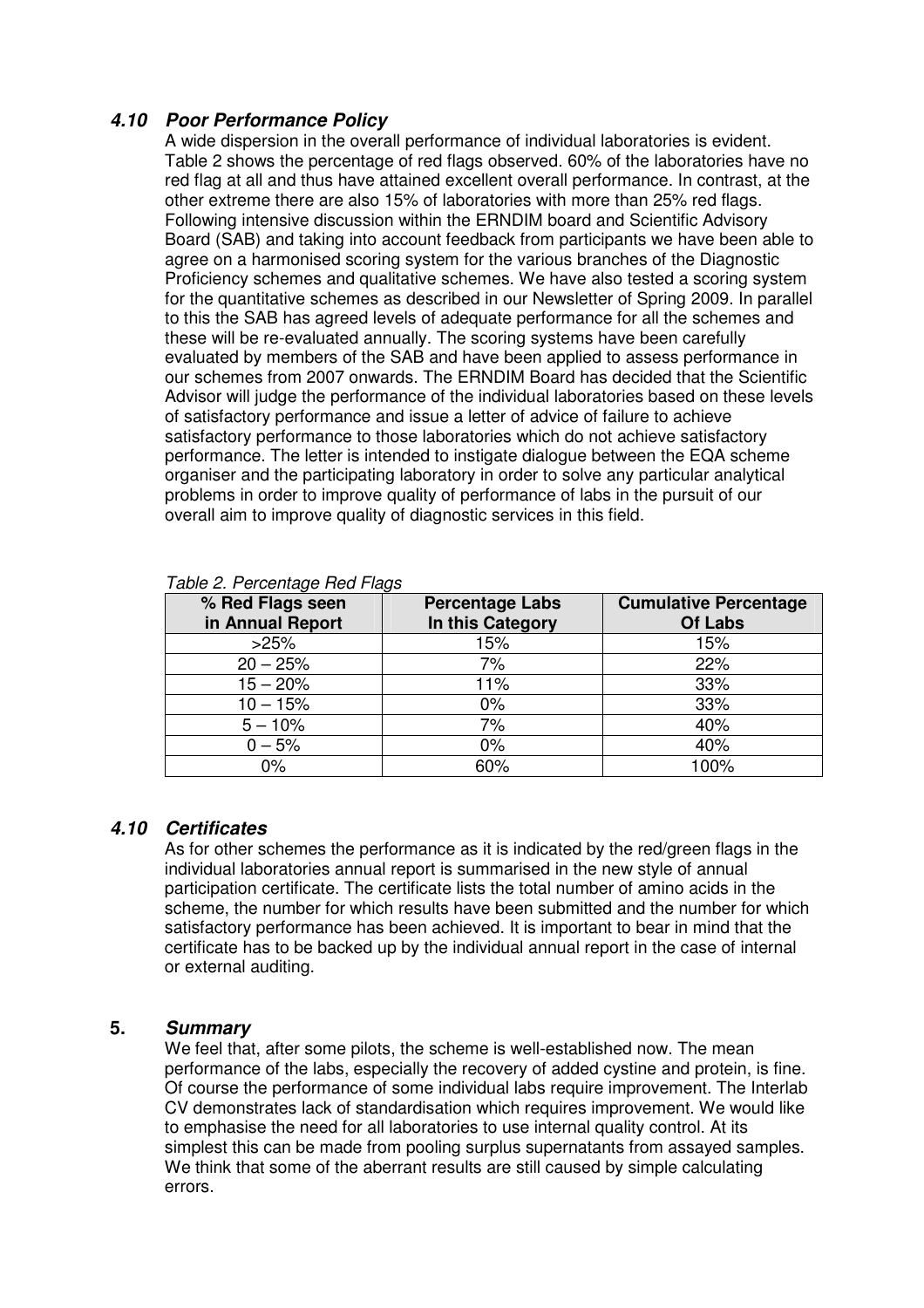# **4.10 Poor Performance Policy**

A wide dispersion in the overall performance of individual laboratories is evident. Table 2 shows the percentage of red flags observed. 60% of the laboratories have no red flag at all and thus have attained excellent overall performance. In contrast, at the other extreme there are also 15% of laboratories with more than 25% red flags. Following intensive discussion within the ERNDIM board and Scientific Advisory Board (SAB) and taking into account feedback from participants we have been able to agree on a harmonised scoring system for the various branches of the Diagnostic Proficiency schemes and qualitative schemes. We have also tested a scoring system for the quantitative schemes as described in our Newsletter of Spring 2009. In parallel to this the SAB has agreed levels of adequate performance for all the schemes and these will be re-evaluated annually. The scoring systems have been carefully evaluated by members of the SAB and have been applied to assess performance in our schemes from 2007 onwards. The ERNDIM Board has decided that the Scientific Advisor will judge the performance of the individual laboratories based on these levels of satisfactory performance and issue a letter of advice of failure to achieve satisfactory performance to those laboratories which do not achieve satisfactory performance. The letter is intended to instigate dialogue between the EQA scheme organiser and the participating laboratory in order to solve any particular analytical problems in order to improve quality of performance of labs in the pursuit of our overall aim to improve quality of diagnostic services in this field.

| % Red Flags seen<br>in Annual Report | <b>Percentage Labs</b><br>In this Category | <b>Cumulative Percentage</b><br><b>Of Labs</b> |
|--------------------------------------|--------------------------------------------|------------------------------------------------|
| >25%                                 | 15%                                        | 15%                                            |
| $20 - 25%$                           | 7%                                         | 22%                                            |
| $15 - 20%$                           | 11%                                        | 33%                                            |
| $10 - 15%$                           | $0\%$                                      | 33%                                            |
| $5 - 10%$                            | 7%                                         | 40%                                            |
| $0 - 5%$                             | 0%                                         | 40%                                            |
| 0%                                   | 60%                                        | 100%                                           |

#### Table 2. Percentage Red Flags

#### **4.10 Certificates**

As for other schemes the performance as it is indicated by the red/green flags in the individual laboratories annual report is summarised in the new style of annual participation certificate. The certificate lists the total number of amino acids in the scheme, the number for which results have been submitted and the number for which satisfactory performance has been achieved. It is important to bear in mind that the certificate has to be backed up by the individual annual report in the case of internal or external auditing.

#### **5. Summary**

We feel that, after some pilots, the scheme is well-established now. The mean performance of the labs, especially the recovery of added cystine and protein, is fine. Of course the performance of some individual labs require improvement. The Interlab CV demonstrates lack of standardisation which requires improvement. We would like to emphasise the need for all laboratories to use internal quality control. At its simplest this can be made from pooling surplus supernatants from assayed samples. We think that some of the aberrant results are still caused by simple calculating errors.